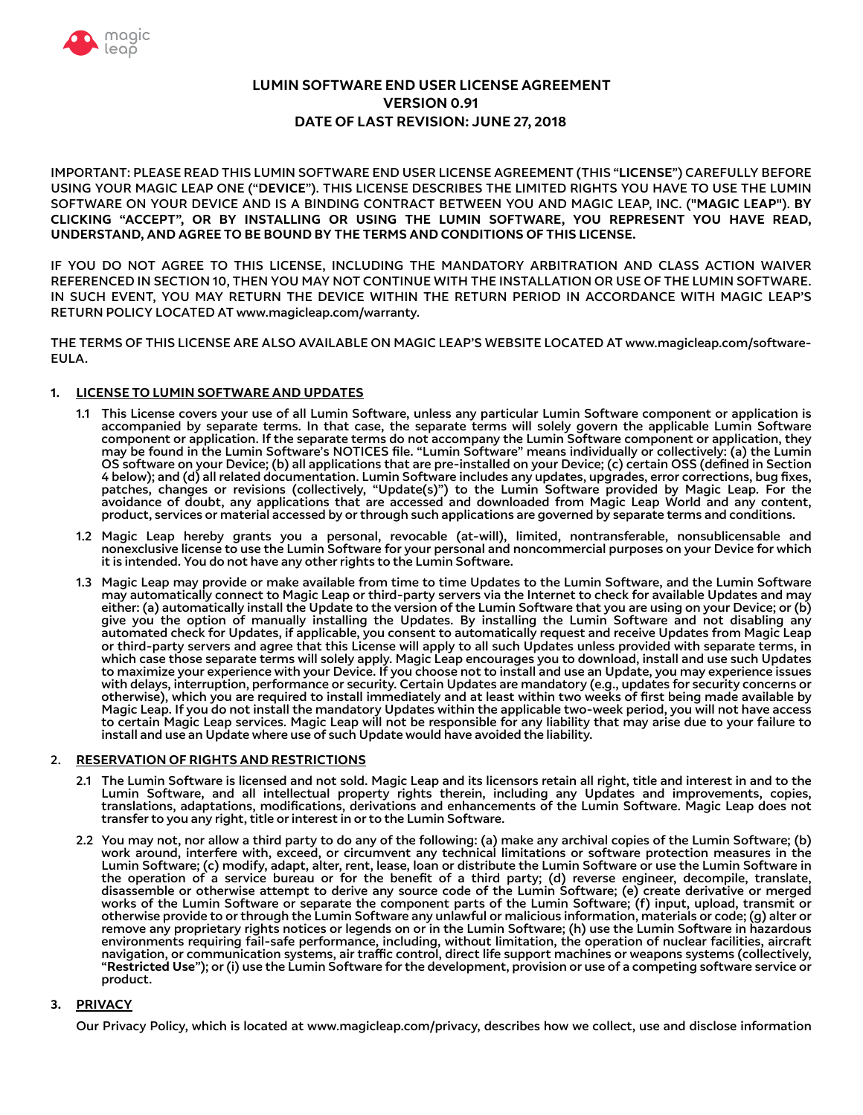

# **LUMIN SOFTWARE END USER LICENSE AGREEMENT VERSION 0.91 DATE OF LAST REVISION: JUNE 27, 2018**

IMPORTANT: PLEASE READ THIS LUMIN SOFTWARE END USER LICENSE AGREEMENT (THIS "**LICENSE**") CAREFULLY BEFORE USING YOUR MAGIC LEAP ONE ("**DEVICE**"). THIS LICENSE DESCRIBES THE LIMITED RIGHTS YOU HAVE TO USE THE LUMIN SOFTWARE ON YOUR DEVICE AND IS A BINDING CONTRACT BETWEEN YOU AND MAGIC LEAP, INC. ("**MAGIC LEAP**"). **BY CLICKING "ACCEPT", OR BY INSTALLING OR USING THE LUMIN SOFTWARE, YOU REPRESENT YOU HAVE READ, UNDERSTAND, AND AGREE TO BE BOUND BY THE TERMS AND CONDITIONS OF THIS LICENSE.** 

IF YOU DO NOT AGREE TO THIS LICENSE, INCLUDING THE MANDATORY ARBITRATION AND CLASS ACTION WAIVER REFERENCED IN SECTION 10, THEN YOU MAY NOT CONTINUE WITH THE INSTALLATION OR USE OF THE LUMIN SOFTWARE. IN SUCH EVENT, YOU MAY RETURN THE DEVICE WITHIN THE RETURN PERIOD IN ACCORDANCE WITH MAGIC LEAP'S RETURN POLICY LOCATED AT www.magicleap.com/warranty.

THE TERMS OF THIS LICENSE ARE ALSO AVAILABLE ON MAGIC LEAP'S WEBSITE LOCATED AT www.magicleap.com/software-EULA.

## **1. LICENSE TO LUMIN SOFTWARE AND UPDATES**

- 1.1 This License covers your use of all Lumin Software, unless any particular Lumin Software component or application is accompanied by separate terms. In that case, the separate terms will solely govern the applicable Lumin Software component or application. If the separate terms do not accompany the Lumin Software component or application, they may be found in the Lumin Software's NOTICES fle. "Lumin Software" means individually or collectively: (a) the Lumin OS software on your Device; (b) all applications that are pre-installed on your Device; (c) certain OSS (defned in Section 4 below); and (d) all related documentation. Lumin Software includes any updates, upgrades, error corrections, bug fxes, patches, changes or revisions (collectively, "Update(s)") to the Lumin Software provided by Magic Leap. For the avoidance of doubt, any applications that are accessed and downloaded from Magic Leap World and any content, product, services or material accessed by or through such applications are governed by separate terms and conditions.
- 1.2 Magic Leap hereby grants you a personal, revocable (at-will), limited, nontransferable, nonsublicensable and nonexclusive license to use the Lumin Software for your personal and noncommercial purposes on your Device for which it is intended. You do not have any other rights to the Lumin Software.
- 1.3 Magic Leap may provide or make available from time to time Updates to the Lumin Software, and the Lumin Software may automatically connect to Magic Leap or third-party servers via the Internet to check for available Updates and may either: (a) automatically install the Update to the version of the Lumin Software that you are using on your Device; or (b) give you the option of manually installing the Updates. By installing the Lumin Software and not disabling any automated check for Updates, if applicable, you consent to automatically request and receive Updates from Magic Leap or third-party servers and agree that this License will apply to all such Updates unless provided with separate terms, in which case those separate terms will solely apply. Magic Leap encourages you to download, install and use such Updates to maximize your experience with your Device. If you choose not to install and use an Update, you may experience issues with delays, interruption, performance or security. Certain Updates are mandatory (e.g., updates for security concerns or otherwise), which you are required to install immediately and at least within two weeks of frst being made available by Magic Leap. If you do not install the mandatory Updates within the applicable two-week period, you will not have access to certain Magic Leap services. Magic Leap will not be responsible for any liability that may arise due to your failure to install and use an Update where use of such Update would have avoided the liability.

## 2. **RESERVATION OF RIGHTS AND RESTRICTIONS**

- 2.1 The Lumin Software is licensed and not sold. Magic Leap and its licensors retain all right, title and interest in and to the Lumin Software, and all intellectual property rights therein, including any Updates and improvements, copies, translations, adaptations, modifcations, derivations and enhancements of the Lumin Software. Magic Leap does not transfer to you any right, title or interest in or to the Lumin Software.
- 2.2 You may not, nor allow a third party to do any of the following: (a) make any archival copies of the Lumin Software; (b) work around, interfere with, exceed, or circumvent any technical limitations or software protection measures in the Lumin Software; (c) modify, adapt, alter, rent, lease, loan or distribute the Lumin Software or use the Lumin Software in the operation of a service bureau or for the beneft of a third party; (d) reverse engineer, decompile, translate, disassemble or otherwise attempt to derive any source code of the Lumin Software; (e) create derivative or merged works of the Lumin Software or separate the component parts of the Lumin Software; (f) input, upload, transmit or otherwise provide to or through the Lumin Software any unlawful or malicious information, materials or code; (g) alter or remove any proprietary rights notices or legends on or in the Lumin Software; (h) use the Lumin Software in hazardous environments requiring fail-safe performance, including, without limitation, the operation of nuclear facilities, aircraft navigation, or communication systems, air traffic control, direct life support machines or weapons systems (collectively, "**Restricted Use**"); or (i) use the Lumin Software for the development, provision or use of a competing software service or product.

## **3. PRIVACY**

Our Privacy Policy, which is located at www.magicleap.com/privacy, describes how we collect, use and disclose information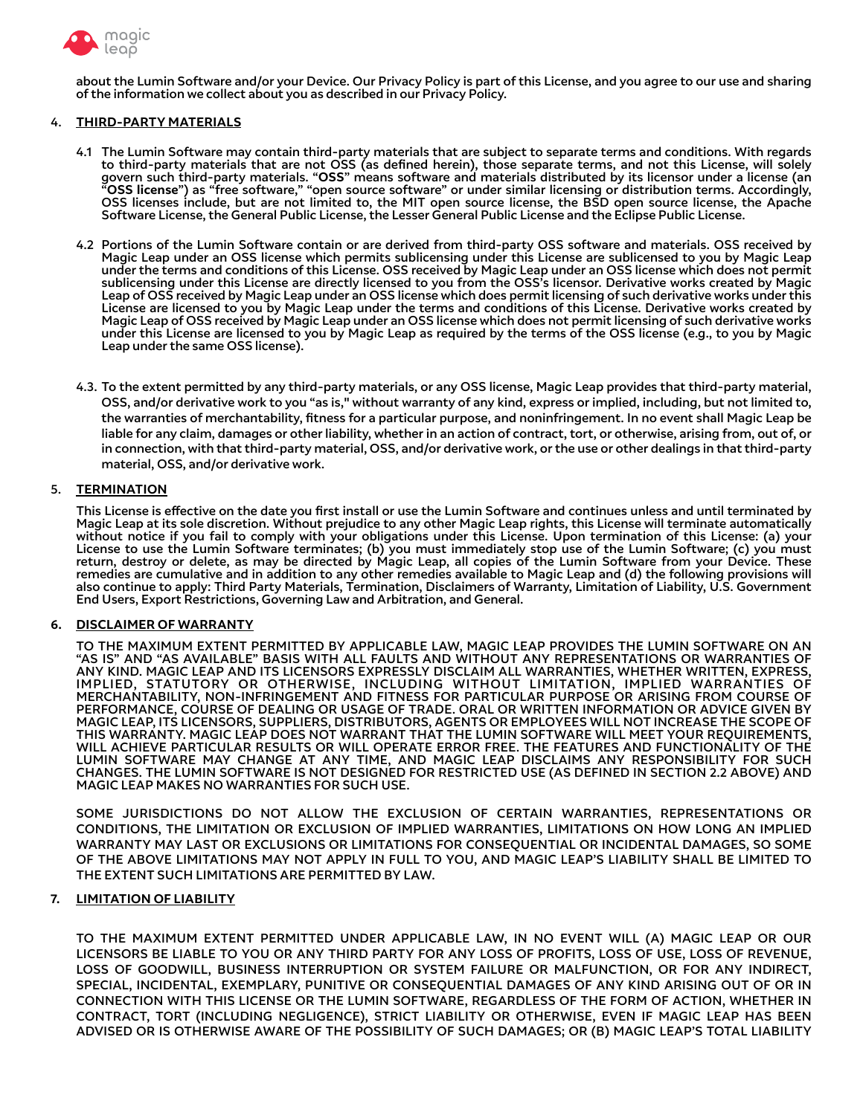

about the Lumin Software and/or your Device. Our Privacy Policy is part of this License, and you agree to our use and sharing of the information we collect about you as described in our Privacy Policy.

## 4. **THIRD-PARTY MATERIALS**

- 4.1 The Lumin Software may contain third-party materials that are subject to separate terms and conditions. With regards to third-party materials that are not OSS (as defned herein), those separate terms, and not this License, will solely govern such third-party materials. "**OSS**" means software and materials distributed by its licensor under a license (an "**OSS license**") as "free software," "open source software" or under similar licensing or distribution terms. Accordingly, OSS licenses include, but are not limited to, the MIT open source license, the BSD open source license, the Apache Software License, the General Public License, the Lesser General Public License and the Eclipse Public License.
- 4.2 Portions of the Lumin Software contain or are derived from third-party OSS software and materials. OSS received by Magic Leap under an OSS license which permits sublicensing under this License are sublicensed to you by Magic Leap under the terms and conditions of this License. OSS received by Magic Leap under an OSS license which does not permit sublicensing under this License are directly licensed to you from the OSS's licensor. Derivative works created by Magic Leap of OSS received by Magic Leap under an OSS license which does permit licensing of such derivative works under this License are licensed to you by Magic Leap under the terms and conditions of this License. Derivative works created by Magic Leap of OSS received by Magic Leap under an OSS license which does not permit licensing of such derivative works under this License are licensed to you by Magic Leap as required by the terms of the OSS license (e.g., to you by Magic Leap under the same OSS license).
- 4.3. To the extent permitted by any third-party materials, or any OSS license, Magic Leap provides that third-party material, OSS, and/or derivative work to you "as is," without warranty of any kind, express or implied, including, but not limited to, the warranties of merchantability, ftness for a particular purpose, and noninfringement. In no event shall Magic Leap be liable for any claim, damages or other liability, whether in an action of contract, tort, or otherwise, arising from, out of, or in connection, with that third-party material, OSS, and/or derivative work, or the use or other dealings in that third-party material, OSS, and/or derivative work.

#### 5. **TERMINATION**

This License is efective on the date you frst install or use the Lumin Software and continues unless and until terminated by Magic Leap at its sole discretion. Without prejudice to any other Magic Leap rights, this License will terminate automatically without notice if you fail to comply with your obligations under this License. Upon termination of this License: (a) your License to use the Lumin Software terminates; (b) you must immediately stop use of the Lumin Software; (c) you must return, destroy or delete, as may be directed by Magic Leap, all copies of the Lumin Software from your Device. These remedies are cumulative and in addition to any other remedies available to Magic Leap and (d) the following provisions will also continue to apply: Third Party Materials, Termination, Disclaimers of Warranty, Limitation of Liability, U.S. Government End Users, Export Restrictions, Governing Law and Arbitration, and General.

## **6. DISCLAIMER OF WARRANTY**

TO THE MAXIMUM EXTENT PERMITTED BY APPLICABLE LAW, MAGIC LEAP PROVIDES THE LUMIN SOFTWARE ON AN "AS IS" AND "AS AVAILABLE" BASIS WITH ALL FAULTS AND WITHOUT ANY REPRESENTATIONS OR WARRANTIES OF ANY KIND. MAGIC LEAP AND ITS LICENSORS EXPRESSLY DISCLAIM ALL WARRANTIES, WHETHER WRITTEN, EXPRESS, IMPLIED, STATUTORY OR OTHERWISE, INCLUDING WITHOUT LIMITATION, IMPLIED WARRANTIES OF MERCHANTABILITY, NON-INFRINGEMENT AND FITNESS FOR PARTICULAR PURPOSE OR ARISING FROM COURSE OF PERFORMANCE, COURSE OF DEALING OR USAGE OF TRADE. ORAL OR WRITTEN INFORMATION OR ADVICE GIVEN BY MAGIC LEAP, ITS LICENSORS, SUPPLIERS, DISTRIBUTORS, AGENTS OR EMPLOYEES WILL NOT INCREASE THE SCOPE OF THIS WARRANTY. MAGIC LEAP DOES NOT WARRANT THAT THE LUMIN SOFTWARE WILL MEET YOUR REQUIREMENTS, WILL ACHIEVE PARTICULAR RESULTS OR WILL OPERATE ERROR FREE. THE FEATURES AND FUNCTIONALITY OF THE LUMIN SOFTWARE MAY CHANGE AT ANY TIME, AND MAGIC LEAP DISCLAIMS ANY RESPONSIBILITY FOR SUCH CHANGES. THE LUMIN SOFTWARE IS NOT DESIGNED FOR RESTRICTED USE (AS DEFINED IN SECTION 2.2 ABOVE) AND MAGIC LEAP MAKES NO WARRANTIES FOR SUCH USE.

SOME JURISDICTIONS DO NOT ALLOW THE EXCLUSION OF CERTAIN WARRANTIES, REPRESENTATIONS OR CONDITIONS, THE LIMITATION OR EXCLUSION OF IMPLIED WARRANTIES, LIMITATIONS ON HOW LONG AN IMPLIED WARRANTY MAY LAST OR EXCLUSIONS OR LIMITATIONS FOR CONSEQUENTIAL OR INCIDENTAL DAMAGES, SO SOME OF THE ABOVE LIMITATIONS MAY NOT APPLY IN FULL TO YOU, AND MAGIC LEAP'S LIABILITY SHALL BE LIMITED TO THE EXTENT SUCH LIMITATIONS ARE PERMITTED BY LAW.

## **7. LIMITATION OF LIABILITY**

TO THE MAXIMUM EXTENT PERMITTED UNDER APPLICABLE LAW, IN NO EVENT WILL (A) MAGIC LEAP OR OUR LICENSORS BE LIABLE TO YOU OR ANY THIRD PARTY FOR ANY LOSS OF PROFITS, LOSS OF USE, LOSS OF REVENUE, LOSS OF GOODWILL, BUSINESS INTERRUPTION OR SYSTEM FAILURE OR MALFUNCTION, OR FOR ANY INDIRECT, SPECIAL, INCIDENTAL, EXEMPLARY, PUNITIVE OR CONSEQUENTIAL DAMAGES OF ANY KIND ARISING OUT OF OR IN CONNECTION WITH THIS LICENSE OR THE LUMIN SOFTWARE, REGARDLESS OF THE FORM OF ACTION, WHETHER IN CONTRACT, TORT (INCLUDING NEGLIGENCE), STRICT LIABILITY OR OTHERWISE, EVEN IF MAGIC LEAP HAS BEEN ADVISED OR IS OTHERWISE AWARE OF THE POSSIBILITY OF SUCH DAMAGES; OR (B) MAGIC LEAP'S TOTAL LIABILITY